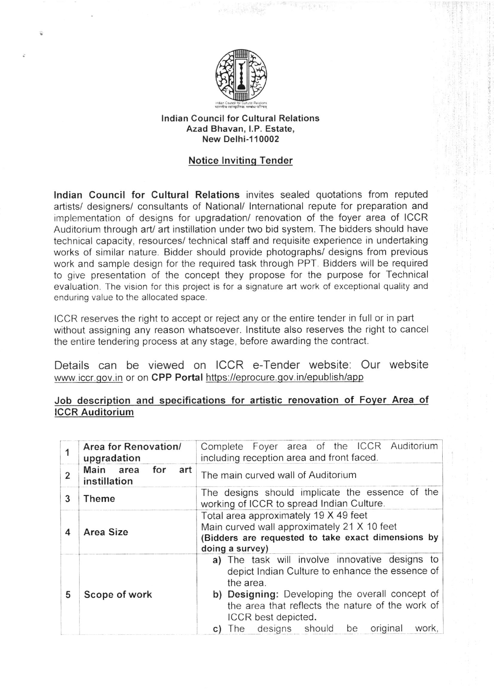

## lndian Council for Cultural Relations Azad Bhavan, l.P. Estate, New Delhi-110002

## Notice lnvitinq Tender

lndian Council for Cultural Relations invites sealed quotations from reputed artists/ designers/ consultants of National/ lnternational repute for preparation and implementation of designs for upgradation/ renovation of the foyer area of ICCR Auditorium through art/ art instillation under two bid system. The bidders should have technical capacity, resources/ technical staff and requisite experience in undertaking works of similar nature. Bidder should provide photographs/ designs from previous work and sample design for the required task through PPT. Bidders will be required to give presentation of the concept they propose for the purpose for Technical evaluation. The vision for this project is for a signature art work of exceptional quality and enduring value to the allocated space.

ICCR reserves the right to accept or reject any or the entire tender in full or in part without assigning any reason whatsoever. lnstitute also reseryes the right to cancel the entire tendering process at any stage, before awarding the contract.

Details can be viewed on ICCR e-Tender website: Our website www.jccr.gov.in or on CPP Portal https://eprocure.gov.in/epublish/app

## Job description and specifications for artistic renovation of Fover Area of ICCR Auditorium

| 1              | Area for Renovation/<br>upgradation     | Complete Foyer area of the ICCR Auditorium<br>including reception area and front faced.                                                                                                                                                                                                                |
|----------------|-----------------------------------------|--------------------------------------------------------------------------------------------------------------------------------------------------------------------------------------------------------------------------------------------------------------------------------------------------------|
| $\overline{2}$ | Main area<br>for<br>art<br>instillation | The main curved wall of Auditorium                                                                                                                                                                                                                                                                     |
| 3              | <b>Theme</b>                            | The designs should implicate the essence of the<br>working of ICCR to spread Indian Culture.                                                                                                                                                                                                           |
| 4              | Area Size                               | Total area approximately 19 X 49 feet<br>Main curved wall approximately 21 X 10 feet<br>(Bidders are requested to take exact dimensions by<br>doing a survey)                                                                                                                                          |
| 5              | Scope of work                           | a) The task will involve innovative designs to<br>depict Indian Culture to enhance the essence of<br>the area.<br>b) Designing: Developing the overall concept of<br>the area that reflects the nature of the work of<br>ICCR best depicted.<br>original<br>work,<br>designs should<br>be<br>The<br>C) |